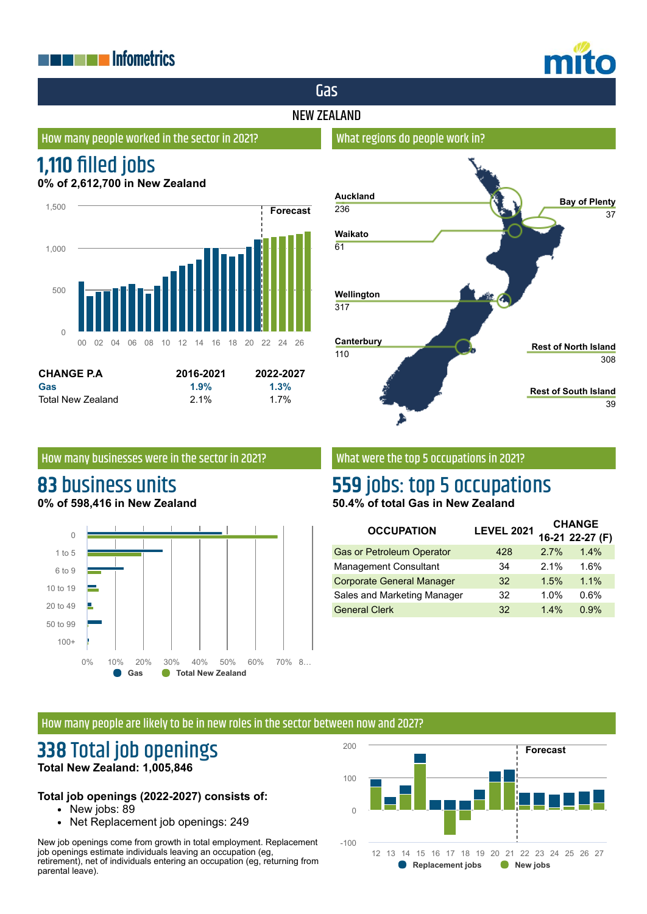## **THE EXPLANATION DEPARTMENT OF STATE**



## Gas

### NEW ZEALAND

### How many people worked in the sector in 2021?

## **1,110 filled jobs**

**0% of 2,612,700 in New Zealand**





#### How many businesses were in the sector in 2021?

# **83** business units

**0% of 598,416 in New Zealand**



### What were the top 5 occupations in 2021?

### **559** jobs: top 5 occupations **50.4% of total Gas in New Zealand**

| <b>OCCUPATION</b>                | <b>LEVEL 2021</b> | <b>CHANGE</b> |                 |
|----------------------------------|-------------------|---------------|-----------------|
|                                  |                   |               | 16-21 22-27 (F) |
| <b>Gas or Petroleum Operator</b> | 428               | 2.7%          | 1.4%            |
| <b>Management Consultant</b>     | 34                | 2.1%          | 1.6%            |
| <b>Corporate General Manager</b> | 32                | 1.5%          | 1.1%            |
| Sales and Marketing Manager      | 32                | 1.0%          | 0.6%            |
| <b>General Clerk</b>             | 32                | 1.4%          | 0.9%            |

### How many people are likely to be in new roles in the sector between now and 2027?

### **338** Total job openings **Total New Zealand: 1,005,846**

### **Total job openings (2022-2027) consists of:**

- New jobs: 89
- Net Replacement job openings: 249

New job openings come from growth in total employment. Replacement job openings estimate individuals leaving an occupation (eg, retirement), net of individuals entering an occupation (eg, returning from parental leave).



### What regions do people work in?